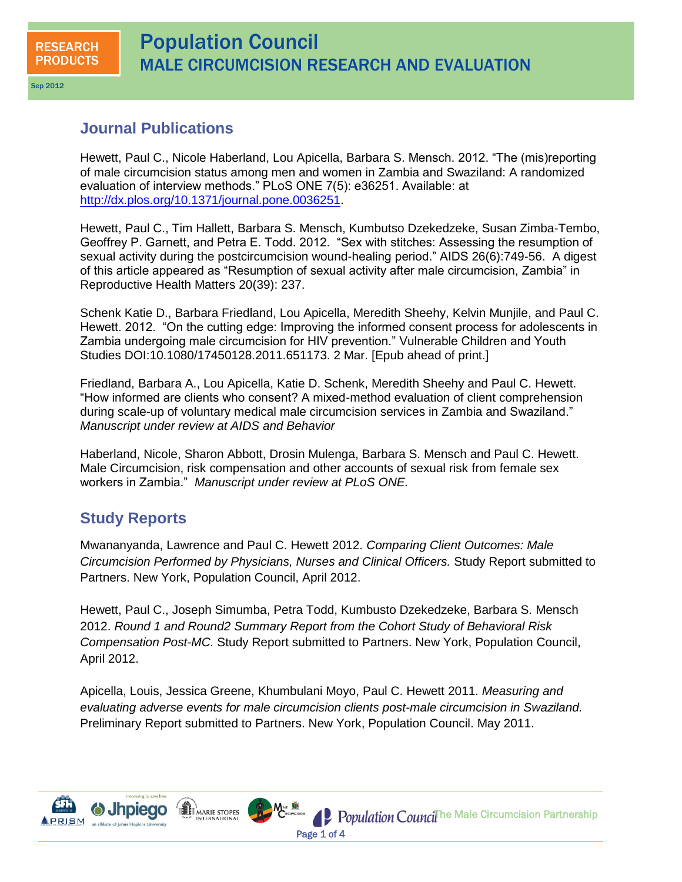Sep 2012

## **Journal Publications**

Hewett, Paul C., Nicole Haberland, Lou Apicella, Barbara S. Mensch. 2012. "The (mis)reporting of male circumcision status among men and women in Zambia and Swaziland: A randomized evaluation of interview methods." PLoS ONE 7(5): e36251. Available: at [http://dx.plos.org/10.1371/journal.pone.0036251.](http://dx.plos.org/10.1371/journal.pone.0036251)

Hewett, Paul C., Tim Hallett, Barbara S. Mensch, Kumbutso Dzekedzeke, Susan Zimba-Tembo, Geoffrey P. Garnett, and Petra E. Todd. 2012. "Sex with stitches: Assessing the resumption of sexual activity during the postcircumcision wound-healing period." AIDS 26(6):749-56. A digest of this article appeared as "Resumption of sexual activity after male circumcision, Zambia" in Reproductive Health Matters 20(39): 237.

Schenk Katie D., Barbara Friedland, Lou Apicella, Meredith Sheehy, Kelvin Munjile, and Paul C. Hewett. 2012. "On the cutting edge: Improving the informed consent process for adolescents in Zambia undergoing male circumcision for HIV prevention." Vulnerable Children and Youth Studies DOI:10.1080/17450128.2011.651173. 2 Mar. [Epub ahead of print.]

Friedland, Barbara A., Lou Apicella, Katie D. Schenk, Meredith Sheehy and Paul C. Hewett. "How informed are clients who consent? A mixed-method evaluation of client comprehension during scale-up of voluntary medical male circumcision services in Zambia and Swaziland." *Manuscript under review at AIDS and Behavior* 

Haberland, Nicole, Sharon Abbott, Drosin Mulenga, Barbara S. Mensch and Paul C. Hewett. Male Circumcision, risk compensation and other accounts of sexual risk from female sex workers in Zambia." *Manuscript under review at PLoS ONE.* 

## **Study Reports**

Mwananyanda, Lawrence and Paul C. Hewett 2012. *Comparing Client Outcomes: Male Circumcision Performed by Physicians, Nurses and Clinical Officers.* Study Report submitted to Partners. New York, Population Council, April 2012.

Hewett, Paul C., Joseph Simumba, Petra Todd, Kumbusto Dzekedzeke, Barbara S. Mensch 2012. *Round 1 and Round2 Summary Report from the Cohort Study of Behavioral Risk Compensation Post-MC.* Study Report submitted to Partners. New York, Population Council, April 2012.

Apicella, Louis, Jessica Greene, Khumbulani Moyo, Paul C. Hewett 2011. *Measuring and evaluating adverse events for male circumcision clients post-male circumcision in Swaziland.* Preliminary Report submitted to Partners. New York, Population Council. May 2011.



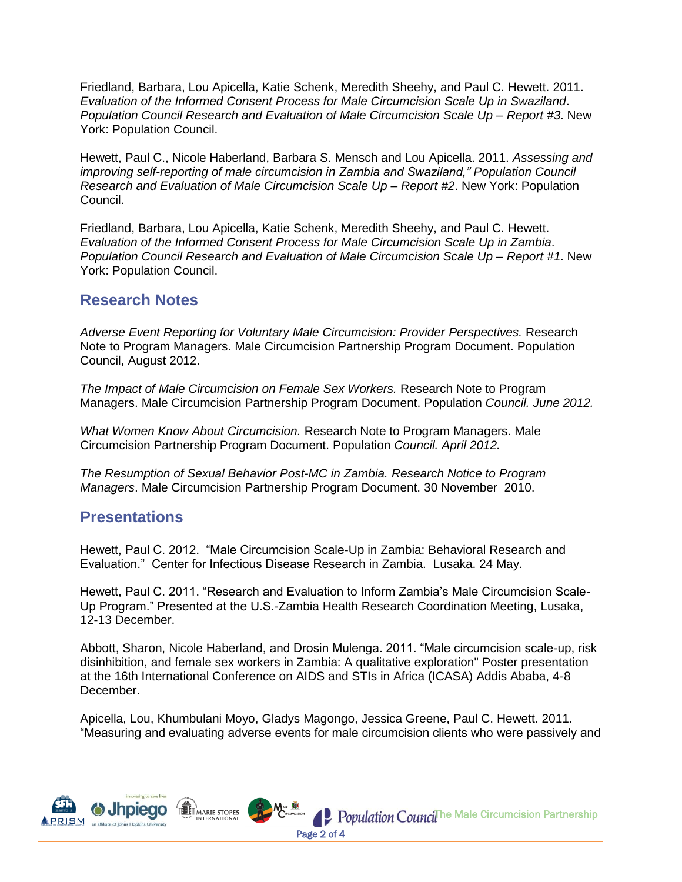Friedland, Barbara, Lou Apicella, Katie Schenk, Meredith Sheehy, and Paul C. Hewett. 2011. *Evaluation of the Informed Consent Process for Male Circumcision Scale Up in Swaziland*. *Population Council Research and Evaluation of Male Circumcision Scale Up – Report #3*. New York: Population Council.

Hewett, Paul C., Nicole Haberland, Barbara S. Mensch and Lou Apicella. 2011. *Assessing and improving self-reporting of male circumcision in Zambia and Swaziland," Population Council Research and Evaluation of Male Circumcision Scale Up – Report #2*. New York: Population Council.

Friedland, Barbara, Lou Apicella, Katie Schenk, Meredith Sheehy, and Paul C. Hewett. *Evaluation of the Informed Consent Process for Male Circumcision Scale Up in Zambia*. *Population Council Research and Evaluation of Male Circumcision Scale Up – Report #1*. New York: Population Council.

## **Research Notes**

*Adverse Event Reporting for Voluntary Male Circumcision: Provider Perspectives.* Research Note to Program Managers. Male Circumcision Partnership Program Document. Population Council, August 2012.

*The Impact of Male Circumcision on Female Sex Workers.* Research Note to Program Managers. Male Circumcision Partnership Program Document. Population *Council. June 2012.* 

*What Women Know About Circumcision.* Research Note to Program Managers. Male Circumcision Partnership Program Document. Population *Council. April 2012.* 

*The Resumption of Sexual Behavior Post-MC in Zambia. Research Notice to Program Managers*. Male Circumcision Partnership Program Document. 30 November 2010.

## **Presentations**

Hewett, Paul C. 2012. "Male Circumcision Scale-Up in Zambia: Behavioral Research and Evaluation." Center for Infectious Disease Research in Zambia. Lusaka. 24 May.

Hewett, Paul C. 2011. "Research and Evaluation to Inform Zambia"s Male Circumcision Scale-Up Program." Presented at the U.S.-Zambia Health Research Coordination Meeting, Lusaka, 12-13 December.

Abbott, Sharon, Nicole Haberland, and Drosin Mulenga. 2011. "Male circumcision scale-up, risk disinhibition, and female sex workers in Zambia: A qualitative exploration" Poster presentation at the 16th International Conference on AIDS and STIs in Africa (ICASA) Addis Ababa, 4-8 December.

Apicella, Lou, Khumbulani Moyo, Gladys Magongo, Jessica Greene, Paul C. Hewett. 2011. "Measuring and evaluating adverse events for male circumcision clients who were passively and

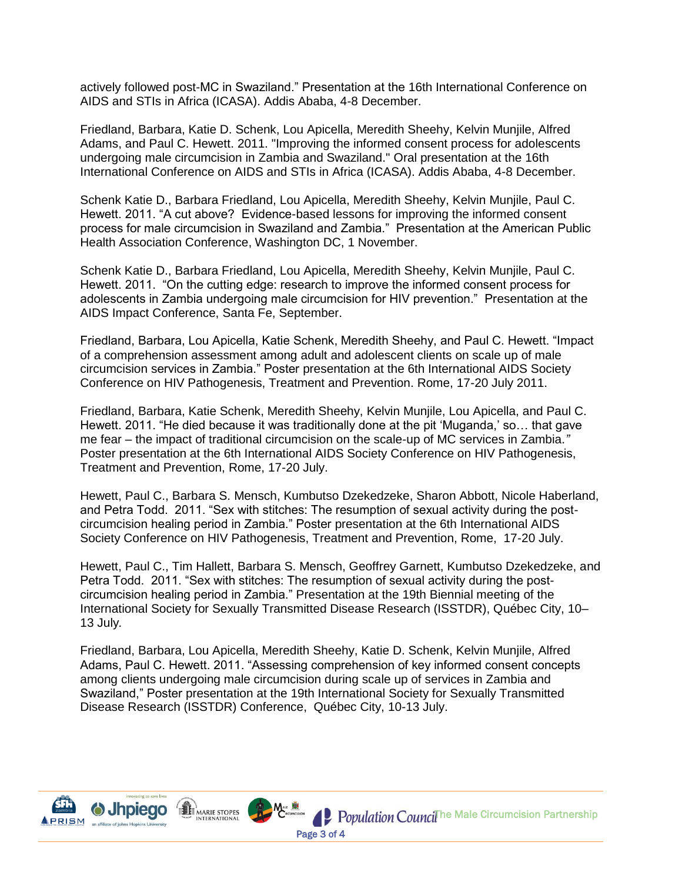actively followed post-MC in Swaziland." Presentation at the 16th International Conference on AIDS and STIs in Africa (ICASA). Addis Ababa, 4-8 December.

Friedland, Barbara, Katie D. Schenk, Lou Apicella, Meredith Sheehy, Kelvin Munjile, Alfred Adams, and Paul C. Hewett. 2011. "Improving the informed consent process for adolescents undergoing male circumcision in Zambia and Swaziland." Oral presentation at the 16th International Conference on AIDS and STIs in Africa (ICASA). Addis Ababa, 4-8 December.

Schenk Katie D., Barbara Friedland, Lou Apicella, Meredith Sheehy, Kelvin Munjile, Paul C. Hewett. 2011. "A cut above? Evidence-based lessons for improving the informed consent process for male circumcision in Swaziland and Zambia." Presentation at the American Public Health Association Conference, Washington DC, 1 November.

Schenk Katie D., Barbara Friedland, Lou Apicella, Meredith Sheehy, Kelvin Munjile, Paul C. Hewett. 2011. "On the cutting edge: research to improve the informed consent process for adolescents in Zambia undergoing male circumcision for HIV prevention." Presentation at the AIDS Impact Conference, Santa Fe, September.

Friedland, Barbara, Lou Apicella, Katie Schenk, Meredith Sheehy, and Paul C. Hewett. "Impact of a comprehension assessment among adult and adolescent clients on scale up of male circumcision services in Zambia." Poster presentation at the 6th International AIDS Society Conference on HIV Pathogenesis, Treatment and Prevention. Rome, 17-20 July 2011.

Friedland, Barbara, Katie Schenk, Meredith Sheehy, Kelvin Munjile, Lou Apicella, and Paul C. Hewett. 2011. "He died because it was traditionally done at the pit "Muganda," so… that gave me fear – the impact of traditional circumcision on the scale-up of MC services in Zambia.*"* Poster presentation at the 6th International AIDS Society Conference on HIV Pathogenesis, Treatment and Prevention, Rome, 17-20 July.

Hewett, Paul C., Barbara S. Mensch, Kumbutso Dzekedzeke, Sharon Abbott, Nicole Haberland, and Petra Todd. 2011. "Sex with stitches: The resumption of sexual activity during the postcircumcision healing period in Zambia." Poster presentation at the 6th International AIDS Society Conference on HIV Pathogenesis, Treatment and Prevention, Rome, 17-20 July.

Hewett, Paul C., Tim Hallett, Barbara S. Mensch, Geoffrey Garnett, Kumbutso Dzekedzeke, and Petra Todd. 2011. "Sex with stitches: The resumption of sexual activity during the postcircumcision healing period in Zambia." Presentation at the 19th Biennial meeting of the International Society for Sexually Transmitted Disease Research (ISSTDR), Québec City, 10– 13 July*.*

Friedland, Barbara, Lou Apicella, Meredith Sheehy, Katie D. Schenk, Kelvin Munjile, Alfred Adams, Paul C. Hewett. 2011. "Assessing comprehension of key informed consent concepts among clients undergoing male circumcision during scale up of services in Zambia and Swaziland," Poster presentation at the 19th International Society for Sexually Transmitted Disease Research (ISSTDR) Conference, Québec City, 10-13 July.

Page 3 of 4